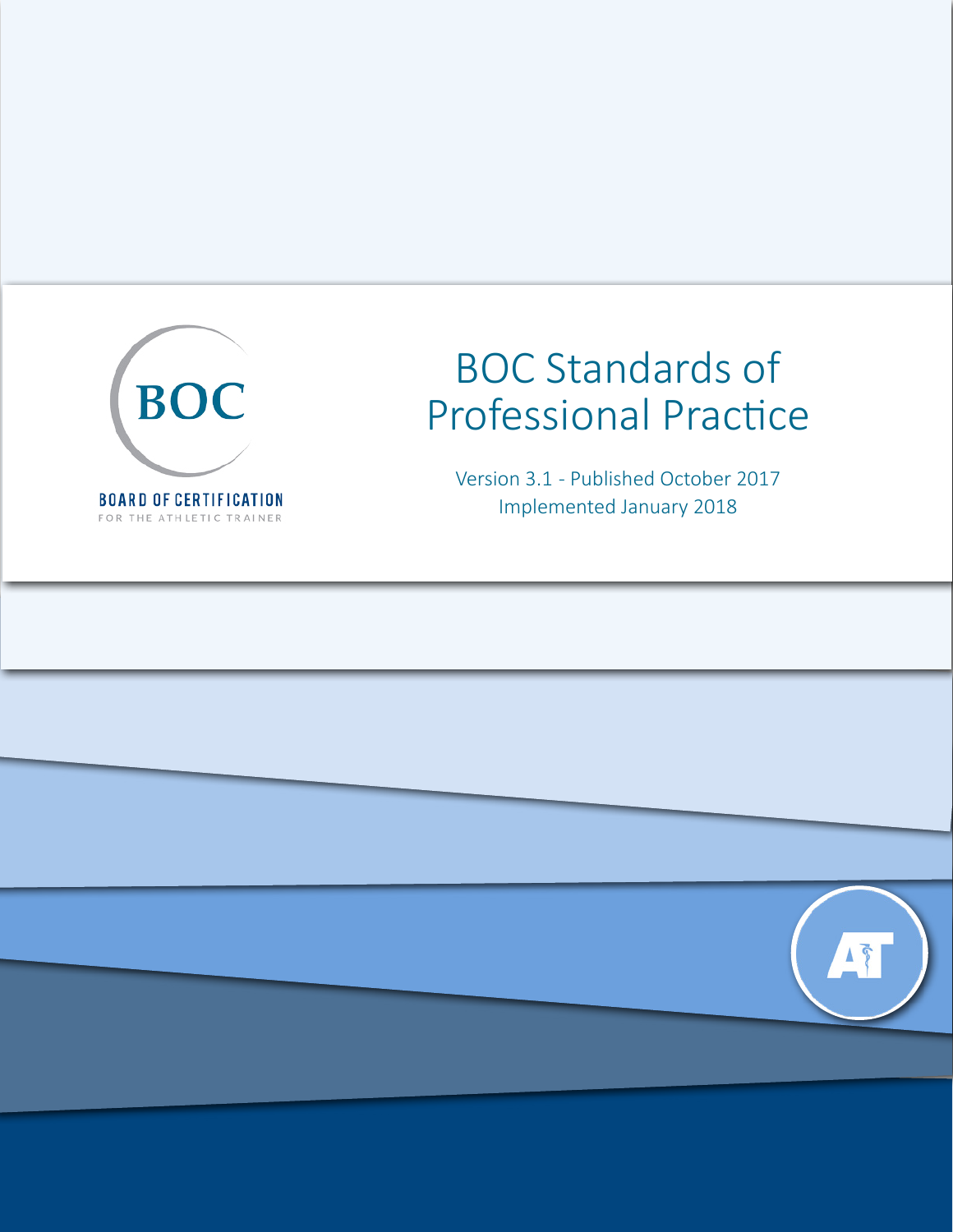

# BOC Standards of Professional Practice

Version 3.1 - Published October 2017 Implemented January 2018

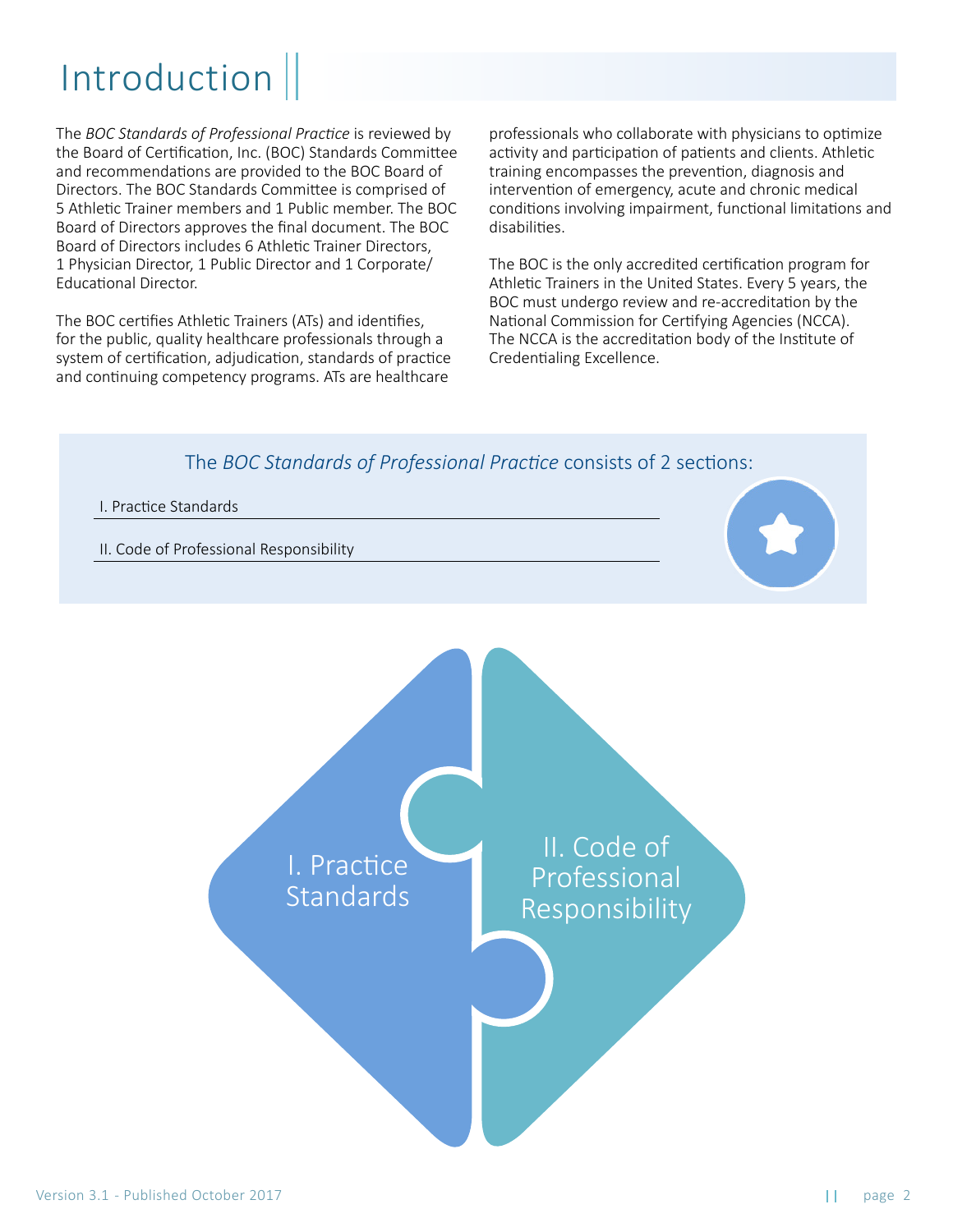## Introduction

The *BOC Standards of Professional Practice* is reviewed by the Board of Certification, Inc. (BOC) Standards Committee and recommendations are provided to the BOC Board of Directors. The BOC Standards Committee is comprised of 5 Athletic Trainer members and 1 Public member. The BOC Board of Directors approves the final document. The BOC Board of Directors includes 6 Athletic Trainer Directors, 1 Physician Director, 1 Public Director and 1 Corporate/ Educational Director.

The BOC certifies Athletic Trainers (ATs) and identifies, for the public, quality healthcare professionals through a system of certification, adjudication, standards of practice and continuing competency programs. ATs are healthcare

professionals who collaborate with physicians to optimize activity and participation of patients and clients. Athletic training encompasses the prevention, diagnosis and intervention of emergency, acute and chronic medical conditions involving impairment, functional limitations and disabilities.

The BOC is the only accredited certification program for Athletic Trainers in the United States. Every 5 years, the BOC must undergo review and re-accreditation by the National Commission for Certifying Agencies (NCCA). The NCCA is the accreditation body of the Institute of Credentialing Excellence.

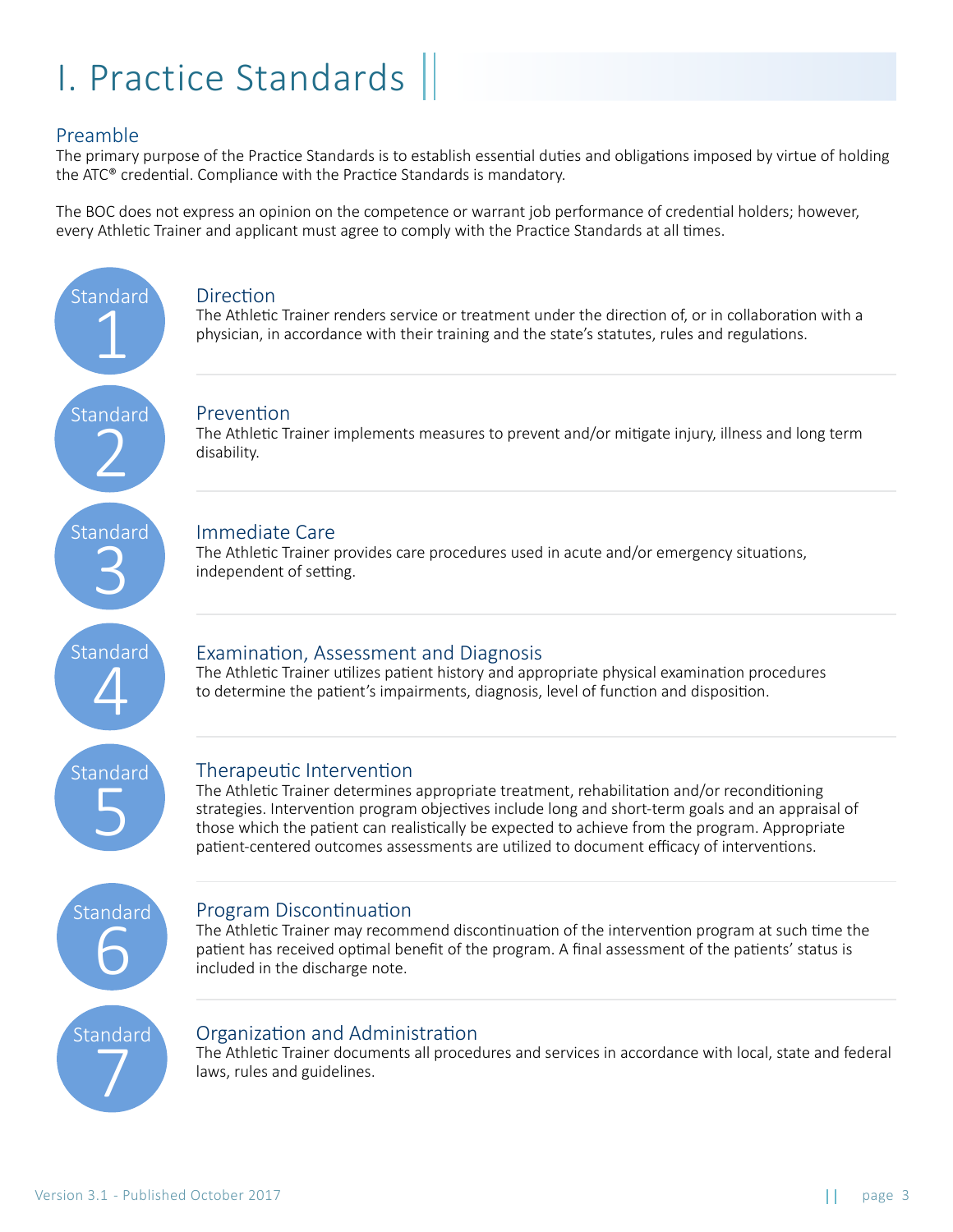## I. Practice Standards

#### Preamble

Standard

1

The primary purpose of the Practice Standards is to establish essential duties and obligations imposed by virtue of holding the ATC® credential. Compliance with the Practice Standards is mandatory.

The BOC does not express an opinion on the competence or warrant job performance of credential holders; however, every Athletic Trainer and applicant must agree to comply with the Practice Standards at all times.

#### **Direction**

The Athletic Trainer renders service or treatment under the direction of, or in collaboration with a physician, in accordance with their training and the state's statutes, rules and regulations.

### Prevention Standard 2

The Athletic Trainer implements measures to prevent and/or mitigate injury, illness and long term disability.

#### Immediate Care

The Athletic Trainer provides care procedures used in acute and/or emergency situations, independent of setting.

Standard 4

Standard

3

#### Examination, Assessment and Diagnosis

The Athletic Trainer utilizes patient history and appropriate physical examination procedures to determine the patient's impairments, diagnosis, level of function and disposition.

Standard 5

Standard

6

#### Therapeutic Intervention

The Athletic Trainer determines appropriate treatment, rehabilitation and/or reconditioning strategies. Intervention program objectives include long and short-term goals and an appraisal of those which the patient can realistically be expected to achieve from the program. Appropriate patient-centered outcomes assessments are utilized to document efficacy of interventions.

Program Discontinuation

The Athletic Trainer may recommend discontinuation of the intervention program at such time the patient has received optimal benefit of the program. A final assessment of the patients' status is included in the discharge note.

Standard 7

#### Organization and Administration

The Athletic Trainer documents all procedures and services in accordance with local, state and federal laws, rules and guidelines.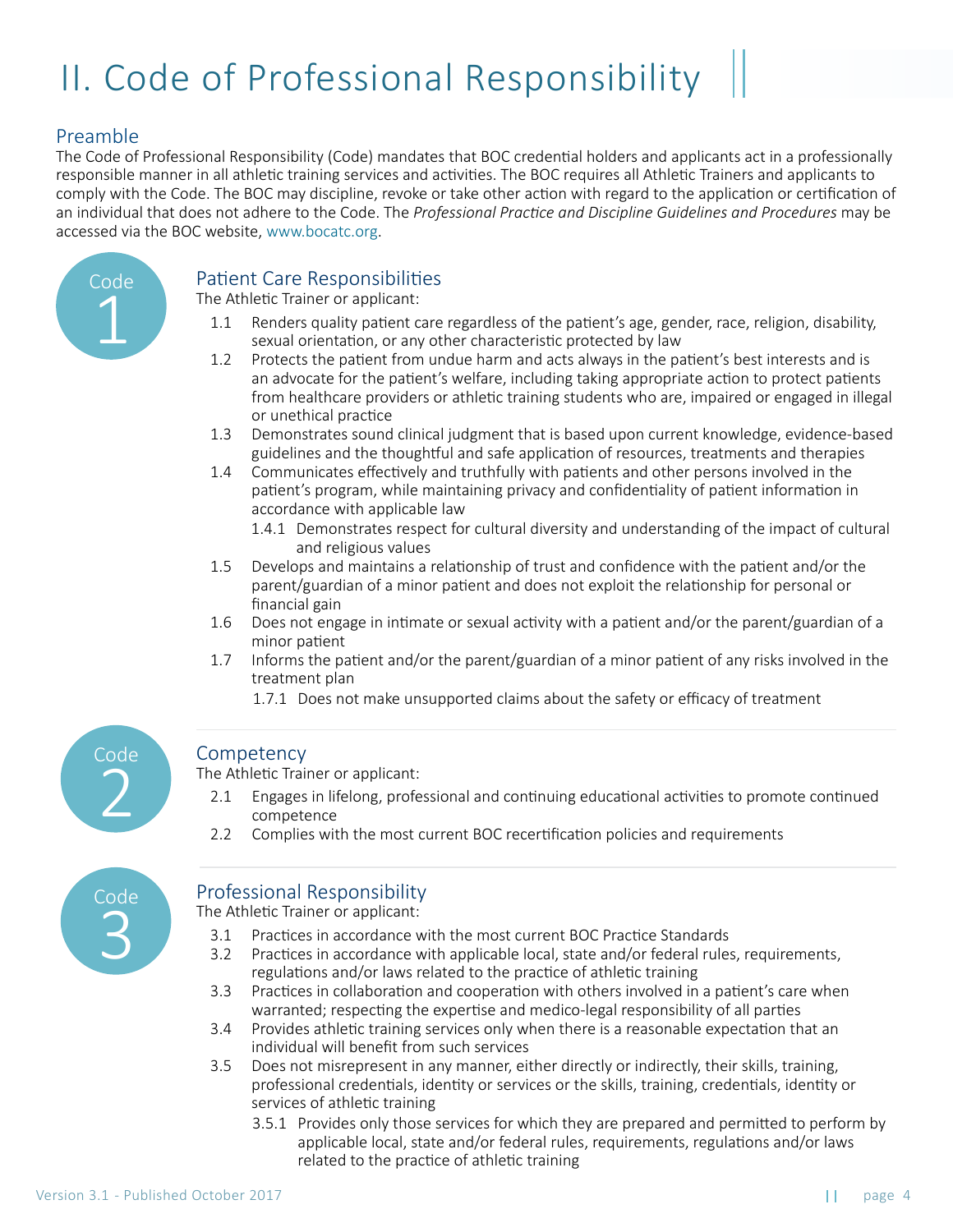## II. Code of Professional Responsibility

#### Preamble

The Code of Professional Responsibility (Code) mandates that BOC credential holders and applicants act in a professionally responsible manner in all athletic training services and activities. The BOC requires all Athletic Trainers and applicants to comply with the Code. The BOC may discipline, revoke or take other action with regard to the application or certification of an individual that does not adhere to the Code. The *Professional Practice and Discipline Guidelines and Procedures* may be accessed via the BOC website, [www.bocatc.org.](http://www.bocatc.org)



#### Patient Care Responsibilities

The Athletic Trainer or applicant:

- Renders quality patient care regardless of the patient's age, gender, race, religion, disability, sexual orientation, or any other characteristic protected by law 1.1
- Protects the patient from undue harm and acts always in the patient's best interests and is an advocate for the patient's welfare, including taking appropriate action to protect patients from healthcare providers or athletic training students who are, impaired or engaged in illegal or unethical practice 1.2
- Demonstrates sound clinical judgment that is based upon current knowledge, evidence-based guidelines and the thoughtful and safe application of resources, treatments and therapies 1.3
- Communicates effectively and truthfully with patients and other persons involved in the patient's program, while maintaining privacy and confidentiality of patient information in accordance with applicable law 1.4
	- 1.4.1 Demonstrates respect for cultural diversity and understanding of the impact of cultural and religious values
- Develops and maintains a relationship of trust and confidence with the patient and/or the parent/guardian of a minor patient and does not exploit the relationship for personal or financial gain 1.5
- Does not engage in intimate or sexual activity with a patient and/or the parent/guardian of a minor patient 1.6
- Informs the patient and/or the parent/guardian of a minor patient of any risks involved in the treatment plan 1.7
	- 1.7.1 Does not make unsupported claims about the safety or efficacy of treatment

# Code 2

#### **Competency**

The Athletic Trainer or applicant:

- Engages in lifelong, professional and continuing educational activities to promote continued competence 2.1
- Complies with the most current BOC recertification policies and requirements 2.2

Code 3

### Professional Responsibility

The Athletic Trainer or applicant:

- Practices in accordance with the most current BOC Practice Standards 3.1
- Practices in accordance with applicable local, state and/or federal rules, requirements, regulations and/or laws related to the practice of athletic training 3.2
- Practices in collaboration and cooperation with others involved in a patient's care when warranted; respecting the expertise and medico-legal responsibility of all parties 3.3
- Provides athletic training services only when there is a reasonable expectation that an individual will benefit from such services 3.4
- Does not misrepresent in any manner, either directly or indirectly, their skills, training, professional credentials, identity or services or the skills, training, credentials, identity or services of athletic training 3.5
	- 3.5.1 Provides only those services for which they are prepared and permitted to perform by applicable local, state and/or federal rules, requirements, regulations and/or laws related to the practice of athletic training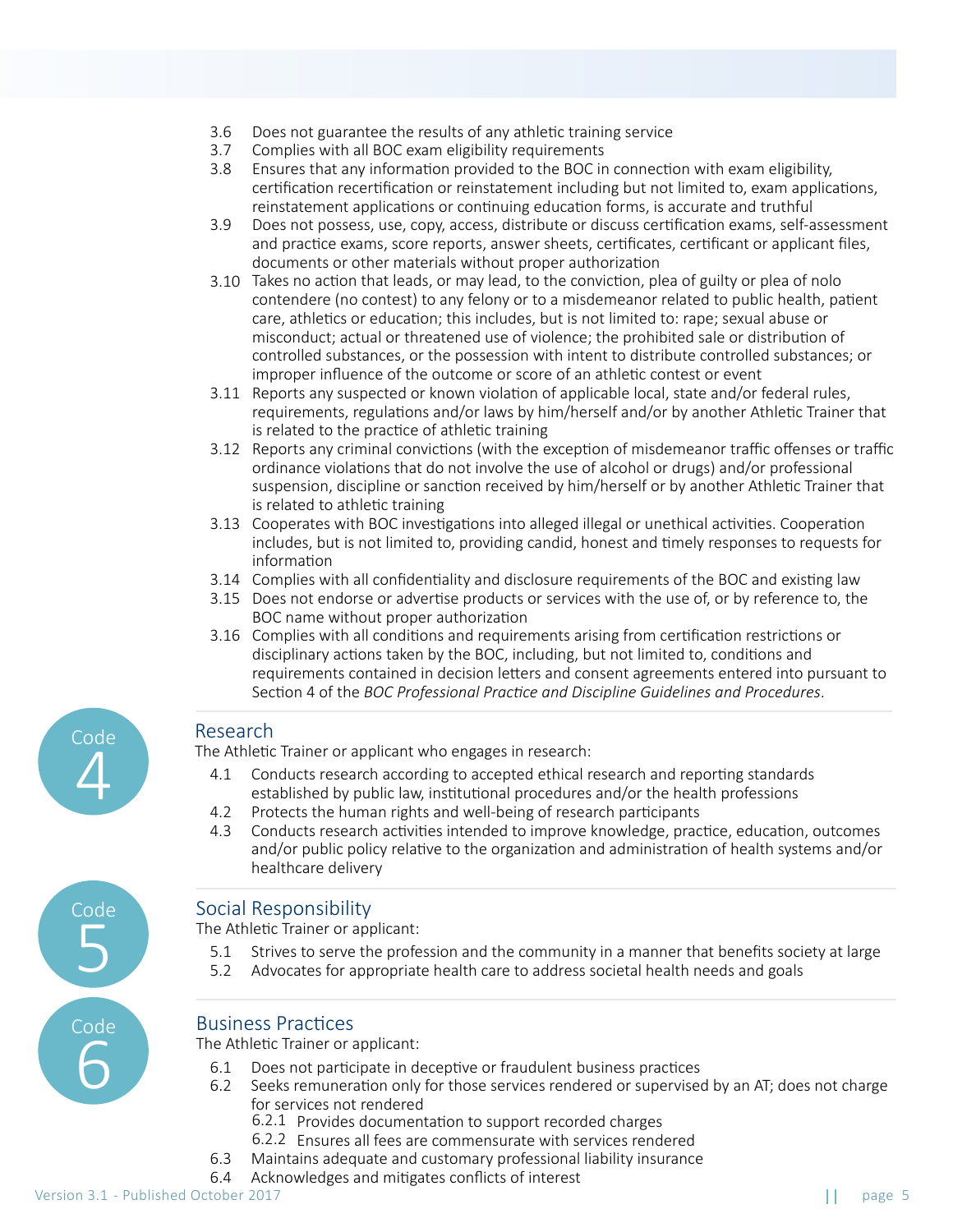- Does not guarantee the results of any athletic training service 3.6
- Complies with all BOC exam eligibility requirements 3.7
- Ensures that any information provided to the BOC in connection with exam eligibility, certification recertification or reinstatement including but not limited to, exam applications, reinstatement applications or continuing education forms, is accurate and truthful 3.8
- Does not possess, use, copy, access, distribute or discuss certification exams, self-assessment and practice exams, score reports, answer sheets, certificates, certificant or applicant files, documents or other materials without proper authorization 3.9
- 3.10 Takes no action that leads, or may lead, to the conviction, plea of guilty or plea of nolo contendere (no contest) to any felony or to a misdemeanor related to public health, patient care, athletics or education; this includes, but is not limited to: rape; sexual abuse or misconduct; actual or threatened use of violence; the prohibited sale or distribution of controlled substances, or the possession with intent to distribute controlled substances; or improper influence of the outcome or score of an athletic contest or event
- Reports any suspected or known violation of applicable local, state and/or federal rules, requirements, regulations and/or laws by him/herself and/or by another Athletic Trainer that is related to the practice of athletic training 3.11
- 3.12 Reports any criminal convictions (with the exception of misdemeanor traffic offenses or traffic ordinance violations that do not involve the use of alcohol or drugs) and/or professional suspension, discipline or sanction received by him/herself or by another Athletic Trainer that is related to athletic training
- Cooperates with BOC investigations into alleged illegal or unethical activities. Cooperation 3.13 includes, but is not limited to, providing candid, honest and timely responses to requests for information
- Complies with all confidentiality and disclosure requirements of the BOC and existing law 3.14
- 3.15 Does not endorse or advertise products or services with the use of, or by reference to, the BOC name without proper authorization
- 3.16 Complies with all conditions and requirements arising from certification restrictions or disciplinary actions taken by the BOC, including, but not limited to, conditions and requirements contained in decision letters and consent agreements entered into pursuant to Section 4 of the *BOC Professional Practice and Discipline Guidelines and Procedures*.

#### Research

Code

4

Code

5

Code

6

The Athletic Trainer or applicant who engages in research:

- Conducts research according to accepted ethical research and reporting standards established by public law, institutional procedures and/or the health professions 4.1
- Protects the human rights and well-being of research participants 4.2
- Conducts research activities intended to improve knowledge, practice, education, outcomes and/or public policy relative to the organization and administration of health systems and/or healthcare delivery 4.3

### Social Responsibility

The Athletic Trainer or applicant:

- Strives to serve the profession and the community in a manner that benefits society at large 5.1
- Advocates for appropriate health care to address societal health needs and goals 5.2

#### Business Practices

The Athletic Trainer or applicant:

- Does not participate in deceptive or fraudulent business practices 6.1
- Seeks remuneration only for those services rendered or supervised by an AT; does not charge for services not rendered 6.2
	- 6.2.1 Provides documentation to support recorded charges
	- Ensures all fees are commensurate with services rendered 6.2.2
- Maintains adequate and customary professional liability insurance 6.3
- Acknowledges and mitigates conflicts of interest 6.4